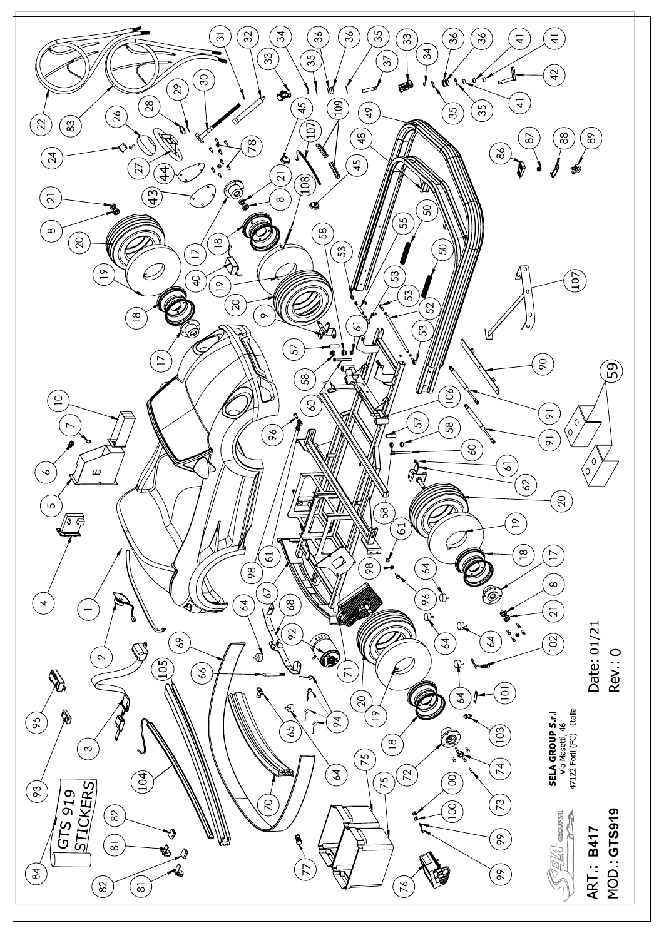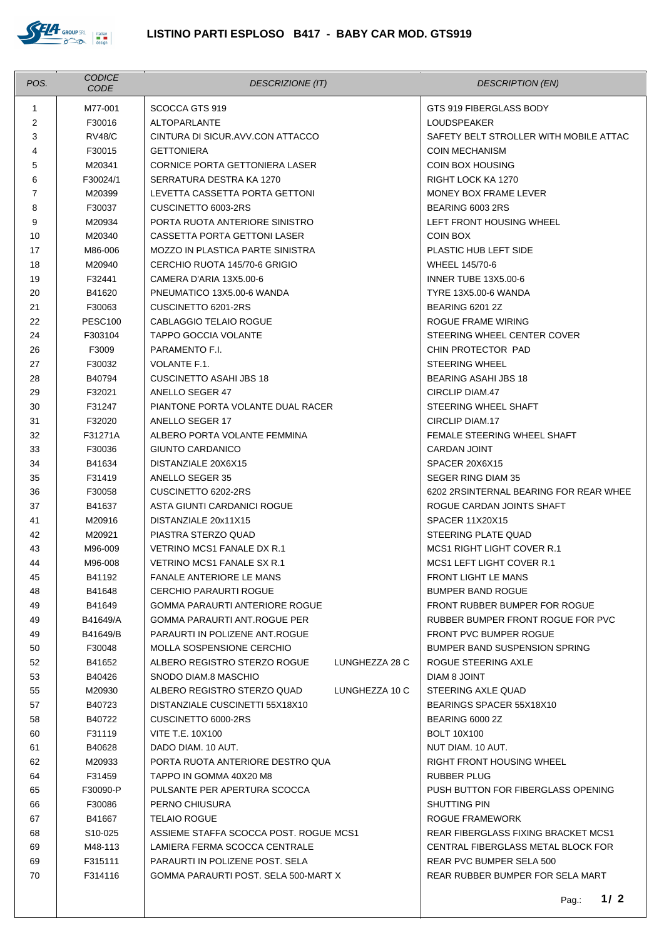

| POS.           | <b>CODICE</b><br>CODE | <b>DESCRIZIONE (IT)</b>                                     | <b>DESCRIPTION (EN)</b>                                      |
|----------------|-----------------------|-------------------------------------------------------------|--------------------------------------------------------------|
| $\mathbf{1}$   | M77-001               | SCOCCA GTS 919                                              | GTS 919 FIBERGLASS BODY                                      |
| $\overline{2}$ | F30016                | ALTOPARLANTE                                                | <b>LOUDSPEAKER</b>                                           |
| 3              | <b>RV48/C</b>         | CINTURA DI SICUR.AVV.CON ATTACCO                            | SAFETY BELT STROLLER WITH MOBILE ATTAC                       |
| 4              | F30015                | <b>GETTONIERA</b>                                           | <b>COIN MECHANISM</b>                                        |
| 5              | M20341                | <b>CORNICE PORTA GETTONIERA LASER</b>                       | COIN BOX HOUSING                                             |
| 6              | F30024/1              | SERRATURA DESTRA KA 1270                                    | RIGHT LOCK KA 1270                                           |
| $\overline{7}$ | M20399                | LEVETTA CASSETTA PORTA GETTONI                              | MONEY BOX FRAME LEVER                                        |
| 8              | F30037                | CUSCINETTO 6003-2RS                                         | BEARING 6003 2RS                                             |
| 9              | M20934                | PORTA RUOTA ANTERIORE SINISTRO                              | LEFT FRONT HOUSING WHEEL                                     |
| 10             | M20340                | CASSETTA PORTA GETTONI LASER                                | COIN BOX                                                     |
| 17             | M86-006               | MOZZO IN PLASTICA PARTE SINISTRA                            | PLASTIC HUB LEFT SIDE                                        |
| 18             | M20940                | CERCHIO RUOTA 145/70-6 GRIGIO                               | WHEEL 145/70-6                                               |
| 19             | F32441                | CAMERA D'ARIA 13X5.00-6                                     | <b>INNER TUBE 13X5.00-6</b>                                  |
| 20             | B41620                | PNEUMATICO 13X5.00-6 WANDA                                  | <b>TYRE 13X5.00-6 WANDA</b>                                  |
| 21             | F30063                | CUSCINETTO 6201-2RS                                         | BEARING 6201 2Z                                              |
| 22             | PESC <sub>100</sub>   | CABLAGGIO TELAIO ROGUE                                      | ROGUE FRAME WIRING                                           |
| 24             | F303104               | <b>TAPPO GOCCIA VOLANTE</b>                                 | STEERING WHEEL CENTER COVER                                  |
| 26             | F3009                 | PARAMENTO F.I.                                              | CHIN PROTECTOR PAD                                           |
| 27             | F30032                | VOLANTE F.1.                                                | <b>STEERING WHEEL</b>                                        |
| 28             | B40794                | <b>CUSCINETTO ASAHI JBS 18</b>                              | <b>BEARING ASAHI JBS 18</b>                                  |
| 29             | F32021                | ANELLO SEGER 47                                             | CIRCLIP DIAM.47                                              |
| 30             | F31247                | PIANTONE PORTA VOLANTE DUAL RACER                           | STEERING WHEEL SHAFT                                         |
| 31             | F32020                | ANELLO SEGER 17                                             | CIRCLIP DIAM.17                                              |
| 32             | F31271A               | ALBERO PORTA VOLANTE FEMMINA                                | FEMALE STEERING WHEEL SHAFT                                  |
| 33             | F30036                | GIUNTO CARDANICO                                            | <b>CARDAN JOINT</b>                                          |
| 34             | B41634                | DISTANZIALE 20X6X15                                         | SPACER 20X6X15                                               |
| 35<br>36       | F31419                | ANELLO SEGER 35<br>CUSCINETTO 6202-2RS                      | SEGER RING DIAM 35<br>6202 2RSINTERNAL BEARING FOR REAR WHEE |
| 37             | F30058<br>B41637      | ASTA GIUNTI CARDANICI ROGUE                                 | ROGUE CARDAN JOINTS SHAFT                                    |
| 41             | M20916                | DISTANZIALE 20x11X15                                        | <b>SPACER 11X20X15</b>                                       |
| 42             | M20921                | PIASTRA STERZO QUAD                                         | STEERING PLATE QUAD                                          |
| 43             | M96-009               | VETRINO MCS1 FANALE DX R.1                                  | <b>MCS1 RIGHT LIGHT COVER R.1</b>                            |
| 44             | M96-008               | VETRINO MCS1 FANALE SX R.1                                  | MCS1 LEFT LIGHT COVER R.1                                    |
| 45             | B41192                | <b>FANALE ANTERIORE LE MANS</b>                             | <b>FRONT LIGHT LE MANS</b>                                   |
| 48             | B41648                | CERCHIO PARAURTI ROGUE                                      | <b>BUMPER BAND ROGUE</b>                                     |
| 49             | B41649                | <b>GOMMA PARAURTI ANTERIORE ROGUE</b>                       | <b>FRONT RUBBER BUMPER FOR ROGUE</b>                         |
| 49             | B41649/A              | GOMMA PARAURTI ANT.ROGUE PER                                | RUBBER BUMPER FRONT ROGUE FOR PVC                            |
| 49             | B41649/B              | PARAURTI IN POLIZENE ANT.ROGUE                              | <b>FRONT PVC BUMPER ROGUE</b>                                |
| 50             | F30048                | MOLLA SOSPENSIONE CERCHIO                                   | <b>BUMPER BAND SUSPENSION SPRING</b>                         |
| 52             | B41652                | ALBERO REGISTRO STERZO ROGUE<br>LUNGHEZZA 28 C              | ROGUE STEERING AXLE                                          |
| 53             | B40426                | SNODO DIAM.8 MASCHIO                                        | DIAM 8 JOINT                                                 |
| 55             | M20930                | ALBERO REGISTRO STERZO QUAD<br>LUNGHEZZA 10 C               | STEERING AXLE QUAD                                           |
| 57             | B40723                | DISTANZIALE CUSCINETTI 55X18X10                             | BEARINGS SPACER 55X18X10                                     |
| 58             | B40722                | CUSCINETTO 6000-2RS                                         | <b>BEARING 6000 2Z</b>                                       |
| 60             | F31119                | <b>VITE T.E. 10X100</b>                                     | <b>BOLT 10X100</b>                                           |
| 61             | B40628                | DADO DIAM. 10 AUT.                                          | NUT DIAM. 10 AUT.                                            |
| 62<br>64       | M20933<br>F31459      | PORTA RUOTA ANTERIORE DESTRO QUA<br>TAPPO IN GOMMA 40X20 M8 | RIGHT FRONT HOUSING WHEEL<br>RUBBER PLUG                     |
| 65             | F30090-P              | PULSANTE PER APERTURA SCOCCA                                | PUSH BUTTON FOR FIBERGLASS OPENING                           |
| 66             | F30086                | PERNO CHIUSURA                                              | SHUTTING PIN                                                 |
| 67             | B41667                | <b>TELAIO ROGUE</b>                                         | ROGUE FRAMEWORK                                              |
| 68             | S <sub>10</sub> -025  | ASSIEME STAFFA SCOCCA POST. ROGUE MCS1                      | REAR FIBERGLASS FIXING BRACKET MCS1                          |
| 69             | M48-113               | LAMIERA FERMA SCOCCA CENTRALE                               | CENTRAL FIBERGLASS METAL BLOCK FOR                           |
| 69             | F315111               | PARAURTI IN POLIZENE POST. SELA                             | <b>REAR PVC BUMPER SELA 500</b>                              |
| 70             | F314116               | GOMMA PARAURTI POST. SELA 500-MART X                        | REAR RUBBER BUMPER FOR SELA MART                             |
|                |                       |                                                             | $1/2$<br>Pag.:                                               |